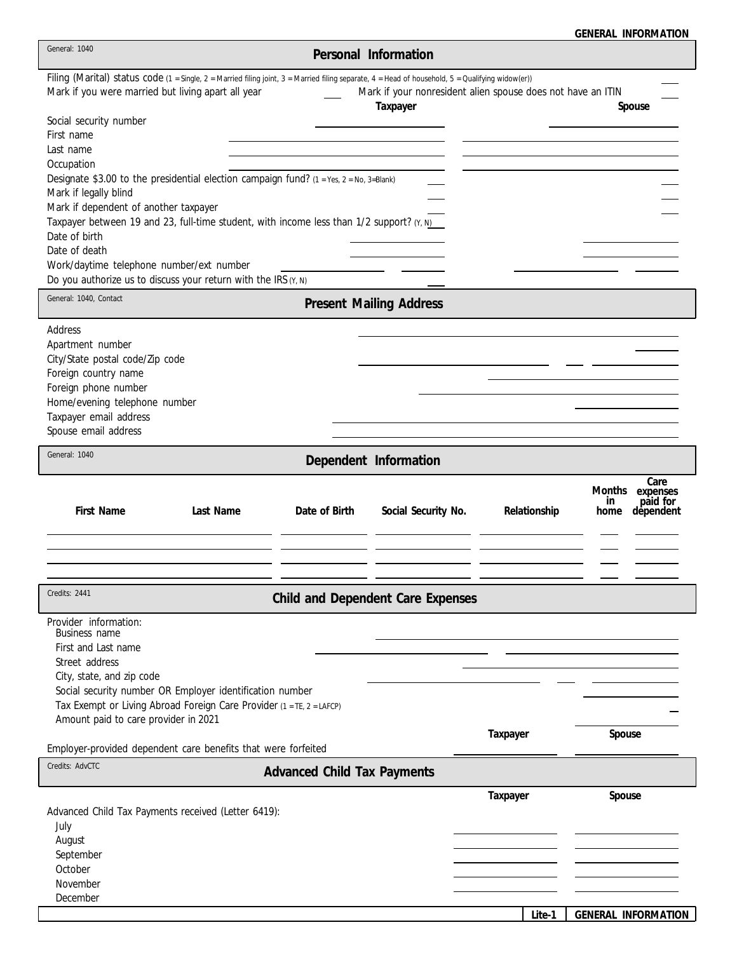|  |  | <b>GENERAL INFORMATION</b> |
|--|--|----------------------------|
|--|--|----------------------------|

| General: 1040                                                                                                                                                                                                                                                                                                                                                                                                                                                                                                                       |                                    | Personal Information                                                    |              |                                                                    |
|-------------------------------------------------------------------------------------------------------------------------------------------------------------------------------------------------------------------------------------------------------------------------------------------------------------------------------------------------------------------------------------------------------------------------------------------------------------------------------------------------------------------------------------|------------------------------------|-------------------------------------------------------------------------|--------------|--------------------------------------------------------------------|
| Filing (Marital) status code (1 = Single, 2 = Married filing joint, 3 = Married filing separate, 4 = Head of household, 5 = Qualifying widow(er))<br>Mark if you were married but living apart all year<br>Social security number<br>First name<br>Last name<br>Occupation<br>Designate \$3.00 to the presidential election campaign fund? (1 = Yes, 2 = No, 3=Blank)<br>Mark if legally blind<br>Mark if dependent of another taxpayer<br>Taxpayer between 19 and 23, full-time student, with income less than 1/2 support? (Y, N) |                                    | Mark if your nonresident alien spouse does not have an ITIN<br>Taxpayer |              | Spouse                                                             |
| Date of birth<br>Date of death<br>Work/daytime telephone number/ext number<br>Do you authorize us to discuss your return with the IRS $(Y, N)$                                                                                                                                                                                                                                                                                                                                                                                      |                                    |                                                                         |              |                                                                    |
| General: 1040, Contact                                                                                                                                                                                                                                                                                                                                                                                                                                                                                                              |                                    | <b>Present Mailing Address</b>                                          |              |                                                                    |
| Address<br>Apartment number<br>City/State postal code/Zip code<br>Foreign country name<br>Foreign phone number<br>Home/evening telephone number<br>Taxpayer email address<br>Spouse email address                                                                                                                                                                                                                                                                                                                                   |                                    |                                                                         |              |                                                                    |
| General: 1040                                                                                                                                                                                                                                                                                                                                                                                                                                                                                                                       |                                    | Dependent Information                                                   |              |                                                                    |
| First Name<br>Last Name                                                                                                                                                                                                                                                                                                                                                                                                                                                                                                             | Date of Birth                      | Social Security No.                                                     | Relationship | Care<br>Months<br>expenses<br>paid for<br>in.<br>dependent<br>home |
| Credits: 2441                                                                                                                                                                                                                                                                                                                                                                                                                                                                                                                       |                                    | Child and Dependent Care Expenses                                       |              |                                                                    |
| Provider information:<br>Business name<br>First and Last name<br>Street address<br>City, state, and zip code<br>Social security number OR Employer identification number<br>Tax Exempt or Living Abroad Foreign Care Provider (1 = TE, 2 = LAFCP)<br>Amount paid to care provider in 2021                                                                                                                                                                                                                                           |                                    |                                                                         | Taxpayer     | Spouse                                                             |
| Employer-provided dependent care benefits that were forfeited<br>Credits: AdvCTC                                                                                                                                                                                                                                                                                                                                                                                                                                                    |                                    |                                                                         |              |                                                                    |
|                                                                                                                                                                                                                                                                                                                                                                                                                                                                                                                                     | <b>Advanced Child Tax Payments</b> |                                                                         |              |                                                                    |
| Advanced Child Tax Payments received (Letter 6419):<br>July<br>August<br>September<br>October<br>November<br>December                                                                                                                                                                                                                                                                                                                                                                                                               |                                    |                                                                         | Taxpayer     | Spouse                                                             |
|                                                                                                                                                                                                                                                                                                                                                                                                                                                                                                                                     |                                    |                                                                         | Lite-1       | GENERAL INFORMATION                                                |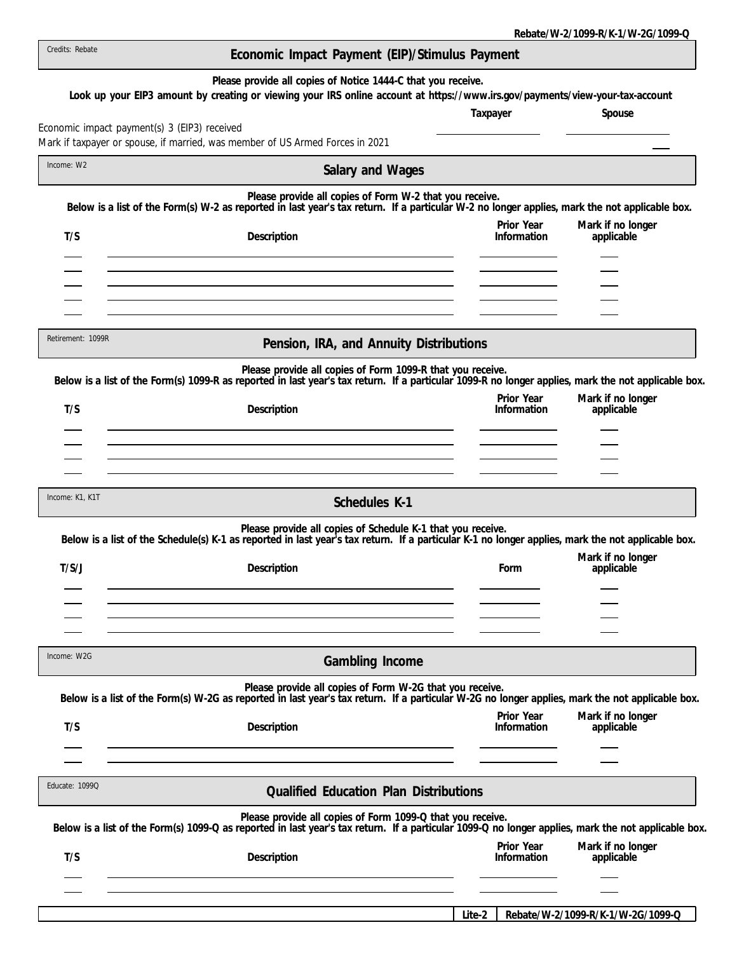| Credits: Rebate   | Economic Impact Payment (EIP)/Stimulus Payment                                                                                                                                                                    |                           |                                 |
|-------------------|-------------------------------------------------------------------------------------------------------------------------------------------------------------------------------------------------------------------|---------------------------|---------------------------------|
|                   | Please provide all copies of Notice 1444-C that you receive.<br>Look up your EIP3 amount by creating or viewing your IRS online account at https://www.irs.gov/payments/view-your-tax-account                     | Taxpayer                  | Spouse                          |
|                   | Economic impact payment(s) 3 (EIP3) received<br>Mark if taxpayer or spouse, if married, was member of US Armed Forces in 2021                                                                                     |                           |                                 |
| Income: W2        | Salary and Wages                                                                                                                                                                                                  |                           |                                 |
|                   | Please provide all copies of Form W-2 that you receive.<br>Below is a list of the Form(s) W-2 as reported in last year's tax return. If a particular W-2 no longer applies, mark the not applicable box.          |                           |                                 |
| T/S               | Description                                                                                                                                                                                                       | Prior Year<br>Information | Mark if no longer<br>applicable |
|                   |                                                                                                                                                                                                                   |                           |                                 |
| Retirement: 1099R | Pension, IRA, and Annuity Distributions                                                                                                                                                                           |                           |                                 |
|                   | Please provide all copies of Form 1099-R that you receive.<br>Below is a list of the Form(s) 1099-R as reported in last year's tax return. If a particular 1099-R no longer applies, mark the not applicable box. |                           |                                 |
| T/S               | Description                                                                                                                                                                                                       | Prior Year<br>Information | Mark if no longer<br>applicable |
|                   |                                                                                                                                                                                                                   |                           |                                 |
|                   |                                                                                                                                                                                                                   |                           |                                 |
| Income: K1, K1T   | Schedules K-1                                                                                                                                                                                                     |                           |                                 |
|                   | Please provide all copies of Schedule K-1 that you receive.<br>Below is a list of the Schedule(s) K-1 as reported in last year's tax return. If a particular K-1 no longer applies, mark the not applicable box.  |                           |                                 |
| T/S/J             | Description                                                                                                                                                                                                       | Form                      | Mark if no longer<br>applicable |
|                   |                                                                                                                                                                                                                   |                           |                                 |
|                   |                                                                                                                                                                                                                   |                           |                                 |
| Income: W2G       | Gambling Income                                                                                                                                                                                                   |                           |                                 |
|                   | Please provide all copies of Form W-2G that you receive.<br>Below is a list of the Form(s) W-2G as reported in last year's tax return. If a particular W-2G no longer applies, mark the not applicable box.       |                           |                                 |
| T/S               | Description                                                                                                                                                                                                       | Prior Year<br>Information | Mark if no longer<br>applicable |
|                   |                                                                                                                                                                                                                   |                           |                                 |
| Educate: 1099Q    | <b>Qualified Education Plan Distributions</b>                                                                                                                                                                     |                           |                                 |
|                   | Please provide all copies of Form 1099-Q that you receive.<br>Below is a list of the Form(s) 1099-Q as reported in last year's tax return. If a particular 1099-Q no longer applies, mark the not applicable box. |                           |                                 |
| T/S               | Description                                                                                                                                                                                                       | Prior Year<br>Information | Mark if no longer<br>applicable |
|                   |                                                                                                                                                                                                                   |                           |                                 |
|                   |                                                                                                                                                                                                                   | Delete 44/ 0/1000 D /     |                                 |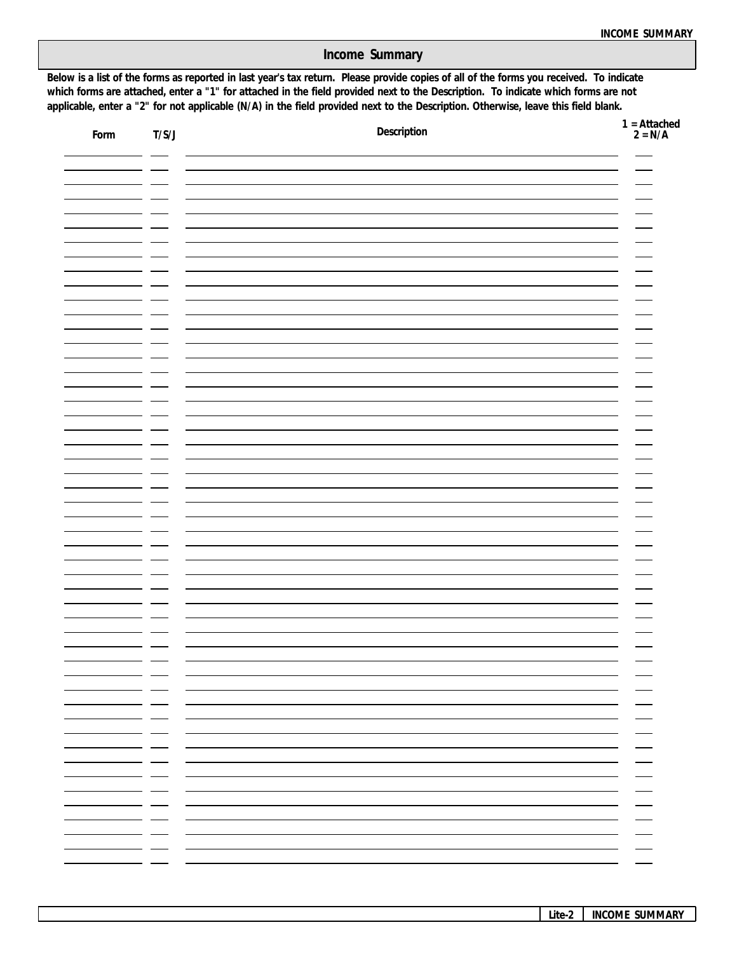**Income Summary**

**applicable, enter a "2" for not applicable (N/A) in the field provided next to the Description. Otherwise, leave this field blank. which forms are attached, enter a "1" for attached in the field provided next to the Description. To indicate which forms are not Below is a list of the forms as reported in last year's tax return. Please provide copies of all of the forms you received. To indicate**

| Form | T/S/J           | Description                                          | $1 =$ Attached<br>$2 = N/A$                                |
|------|-----------------|------------------------------------------------------|------------------------------------------------------------|
|      |                 |                                                      |                                                            |
|      |                 |                                                      |                                                            |
|      |                 |                                                      |                                                            |
|      |                 |                                                      |                                                            |
|      |                 |                                                      |                                                            |
|      |                 |                                                      |                                                            |
|      |                 |                                                      |                                                            |
|      |                 |                                                      |                                                            |
|      |                 |                                                      |                                                            |
|      |                 |                                                      |                                                            |
|      |                 |                                                      |                                                            |
|      |                 |                                                      |                                                            |
|      |                 |                                                      |                                                            |
|      |                 |                                                      |                                                            |
|      |                 |                                                      |                                                            |
|      |                 |                                                      |                                                            |
|      |                 |                                                      |                                                            |
|      |                 |                                                      |                                                            |
|      | - -<br>—<br>— — | $\overline{\phantom{a}}$<br>$\sim$ $\sim$<br>$\sim$  | - -                                                        |
|      | — —<br>— —      |                                                      | — —<br>— —                                                 |
|      | $ -$<br>— —     |                                                      | - -<br>_ _                                                 |
|      | — —<br>— —      |                                                      | _ _<br>$\sim$ $\sim$                                       |
|      | $ -$<br>— —     |                                                      | $\sim$ $\sim$<br>$\sim$ $\sim$<br>$\overline{\phantom{0}}$ |
|      | - - -<br>- -    | $\overline{\phantom{0}}$<br>$\overline{\phantom{0}}$ | $\overline{\phantom{0}}$<br>$\overline{\phantom{0}}$       |
|      | - -<br>- -      | $\overline{\phantom{0}}$                             | $\overline{\phantom{0}}$                                   |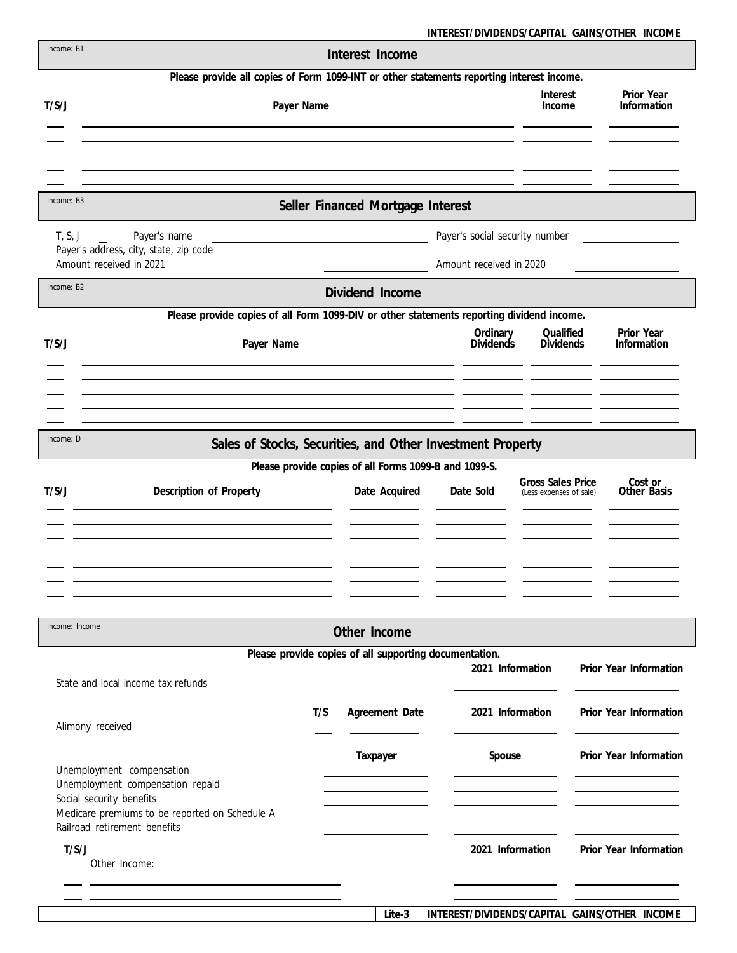**INTEREST/DIVIDENDS/CAPITAL GAINS/OTHER INCOME**

| Income: B1     |                                                                                           |     | Interest Income                                        |                                                           |                                              |                           |
|----------------|-------------------------------------------------------------------------------------------|-----|--------------------------------------------------------|-----------------------------------------------------------|----------------------------------------------|---------------------------|
|                | Please provide all copies of Form 1099-INT or other statements reporting interest income. |     |                                                        |                                                           |                                              |                           |
| T/S/J          | Payer Name                                                                                |     |                                                        |                                                           | Interest<br>Income                           | Prior Year<br>Information |
|                |                                                                                           |     |                                                        |                                                           |                                              |                           |
|                |                                                                                           |     |                                                        |                                                           |                                              |                           |
|                |                                                                                           |     |                                                        |                                                           |                                              |                           |
| Income: B3     |                                                                                           |     | Seller Financed Mortgage Interest                      |                                                           |                                              |                           |
| T, S, J        | Payer's name<br>Payer's address, city, state, zip code<br>Amount received in 2021         |     |                                                        | Payer's social security number<br>Amount received in 2020 |                                              |                           |
|                |                                                                                           |     |                                                        |                                                           |                                              |                           |
| Income: B2     |                                                                                           |     | Dividend Income                                        |                                                           |                                              |                           |
|                | Please provide copies of all Form 1099-DIV or other statements reporting dividend income. |     |                                                        |                                                           |                                              |                           |
| T/S/J          | Payer Name                                                                                |     |                                                        | Ordinary<br><b>Dividends</b>                              | Qualified<br><b>Dividends</b>                | Prior Year<br>Information |
|                |                                                                                           |     |                                                        |                                                           |                                              |                           |
|                |                                                                                           |     |                                                        |                                                           |                                              |                           |
|                |                                                                                           |     |                                                        |                                                           |                                              |                           |
| Income: D      | Sales of Stocks, Securities, and Other Investment Property                                |     |                                                        |                                                           |                                              |                           |
|                |                                                                                           |     | Please provide copies of all Forms 1099-B and 1099-S.  |                                                           |                                              |                           |
| T/S/J          | Description of Property                                                                   |     | Date Acquired                                          | Date Sold                                                 | Gross Sales Price<br>(Less expenses of sale) | Cost or<br>Other Basis    |
|                |                                                                                           |     |                                                        |                                                           |                                              |                           |
|                |                                                                                           |     |                                                        |                                                           |                                              |                           |
|                |                                                                                           |     |                                                        |                                                           |                                              |                           |
|                |                                                                                           |     |                                                        |                                                           |                                              |                           |
|                |                                                                                           |     |                                                        |                                                           |                                              |                           |
| Income: Income |                                                                                           |     | Other Income                                           |                                                           |                                              |                           |
|                |                                                                                           |     | Please provide copies of all supporting documentation. | 2021 Information                                          |                                              | Prior Year Information    |
|                | State and local income tax refunds                                                        |     |                                                        |                                                           |                                              |                           |
|                | Alimony received                                                                          | T/S | Agreement Date                                         | 2021 Information                                          |                                              | Prior Year Information    |
|                |                                                                                           |     | Taxpayer                                               | Spouse                                                    |                                              | Prior Year Information    |
|                | Unemployment compensation<br>Unemployment compensation repaid                             |     |                                                        |                                                           |                                              |                           |
|                | Social security benefits                                                                  |     |                                                        |                                                           |                                              |                           |
|                | Medicare premiums to be reported on Schedule A<br>Railroad retirement benefits            |     |                                                        |                                                           |                                              |                           |
| T/S/J          |                                                                                           |     |                                                        | 2021 Information                                          |                                              | Prior Year Information    |
|                | Other Income:                                                                             |     |                                                        |                                                           |                                              |                           |
|                |                                                                                           |     |                                                        |                                                           |                                              |                           |
|                |                                                                                           |     |                                                        |                                                           |                                              |                           |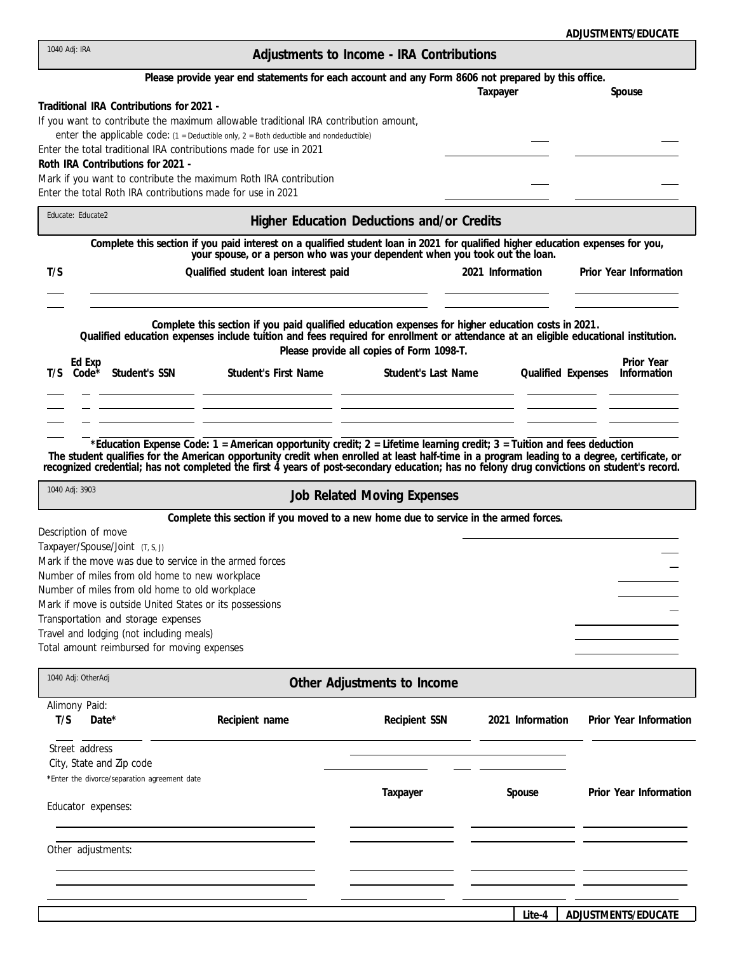| ADJUSTMENTS/EDUCATE |
|---------------------|
|---------------------|

| 1040 Adj: IRA                                                                                                                                                                                                                                                                                                                                                                                                       |                                                                                                                                                                                                                                                                                                                                                                                              | Adjustments to Income - IRA Contributions                        |                  |                                                        |
|---------------------------------------------------------------------------------------------------------------------------------------------------------------------------------------------------------------------------------------------------------------------------------------------------------------------------------------------------------------------------------------------------------------------|----------------------------------------------------------------------------------------------------------------------------------------------------------------------------------------------------------------------------------------------------------------------------------------------------------------------------------------------------------------------------------------------|------------------------------------------------------------------|------------------|--------------------------------------------------------|
|                                                                                                                                                                                                                                                                                                                                                                                                                     | Please provide year end statements for each account and any Form 8606 not prepared by this office.                                                                                                                                                                                                                                                                                           |                                                                  | Taxpayer         | Spouse                                                 |
| Traditional IRA Contributions for 2021 -<br>Roth IRA Contributions for 2021 -                                                                                                                                                                                                                                                                                                                                       | If you want to contribute the maximum allowable traditional IRA contribution amount,<br>enter the applicable code: $(1 =$ Deductible only, $2 =$ Both deductible and nondeductible)<br>Enter the total traditional IRA contributions made for use in 2021<br>Mark if you want to contribute the maximum Roth IRA contribution<br>Enter the total Roth IRA contributions made for use in 2021 |                                                                  |                  |                                                        |
| Educate: Educate2                                                                                                                                                                                                                                                                                                                                                                                                   |                                                                                                                                                                                                                                                                                                                                                                                              | Higher Education Deductions and/or Credits                       |                  |                                                        |
|                                                                                                                                                                                                                                                                                                                                                                                                                     | Complete this section if you paid interest on a qualified student loan in 2021 for qualified higher education expenses for you,<br>your spouse, or a person who was your dependent when you took out the loan.                                                                                                                                                                               |                                                                  |                  |                                                        |
| T/S                                                                                                                                                                                                                                                                                                                                                                                                                 | Qualified student loan interest paid                                                                                                                                                                                                                                                                                                                                                         |                                                                  | 2021 Information | Prior Year Information                                 |
| Ed Exp<br>$T/S$ Code <sup>*</sup><br>Student's SSN                                                                                                                                                                                                                                                                                                                                                                  | Complete this section if you paid qualified education expenses for higher education costs in 2021.<br>Qualified education expenses include tuition and fees required for enrollment or attendance at an eligible educational institution.<br><b>Student's First Name</b>                                                                                                                     | Please provide all copies of Form 1098-T.<br>Student's Last Name |                  | Prior Year<br>Information<br><b>Qualified Expenses</b> |
| 1040 Adj: 3903                                                                                                                                                                                                                                                                                                                                                                                                      | *Education Expense Code: 1 = American opportunity credit; 2 = Lifetime learning credit; 3 = Tuition and fees deduction<br>The student qualifies for the American opportunity credit when enrolled at least half-time in a program leading to a degree, certificate, or recognized credential; has not completed the first 4 years of post-secondary educ                                     |                                                                  |                  |                                                        |
|                                                                                                                                                                                                                                                                                                                                                                                                                     |                                                                                                                                                                                                                                                                                                                                                                                              | Job Related Moving Expenses                                      |                  |                                                        |
| Description of move<br>Taxpayer/Spouse/Joint (T, S, J)<br>Mark if the move was due to service in the armed forces<br>Number of miles from old home to new workplace<br>Number of miles from old home to old workplace<br>Mark if move is outside United States or its possessions<br>Transportation and storage expenses<br>Travel and lodging (not including meals)<br>Total amount reimbursed for moving expenses | Complete this section if you moved to a new home due to service in the armed forces.                                                                                                                                                                                                                                                                                                         |                                                                  |                  |                                                        |
| 1040 Adj: OtherAdj                                                                                                                                                                                                                                                                                                                                                                                                  |                                                                                                                                                                                                                                                                                                                                                                                              | Other Adjustments to Income                                      |                  |                                                        |
| Alimony Paid:<br>T/S<br>Date*                                                                                                                                                                                                                                                                                                                                                                                       | Recipient name                                                                                                                                                                                                                                                                                                                                                                               | Recipient SSN                                                    | 2021 Information | Prior Year Information                                 |
| Street address<br>City, State and Zip code<br>*Enter the divorce/separation agreement date<br>Educator expenses:                                                                                                                                                                                                                                                                                                    |                                                                                                                                                                                                                                                                                                                                                                                              | Taxpayer                                                         | Spouse           | Prior Year Information                                 |
| Other adjustments:                                                                                                                                                                                                                                                                                                                                                                                                  |                                                                                                                                                                                                                                                                                                                                                                                              |                                                                  |                  |                                                        |
|                                                                                                                                                                                                                                                                                                                                                                                                                     |                                                                                                                                                                                                                                                                                                                                                                                              |                                                                  | Lite-4           | ADJUSTMENTS/EDUCATE                                    |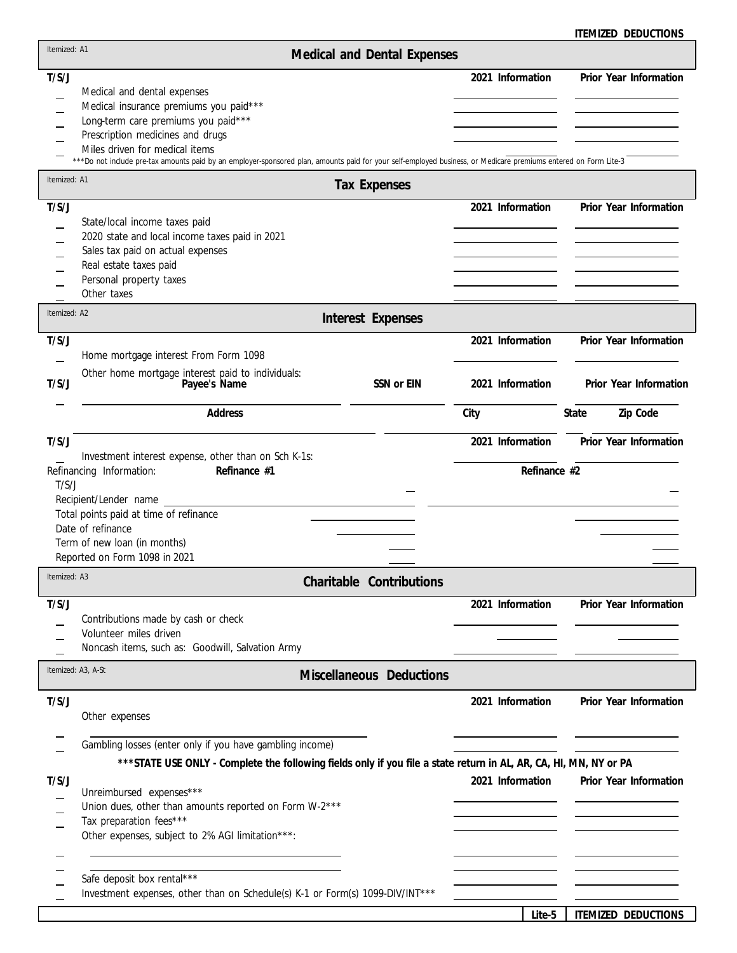|              |                                                                                                                                                                 |                             |                  | ITEMIZED DEDUCTIONS    |
|--------------|-----------------------------------------------------------------------------------------------------------------------------------------------------------------|-----------------------------|------------------|------------------------|
| Itemized: A1 |                                                                                                                                                                 | Medical and Dental Expenses |                  |                        |
| T/S/J        |                                                                                                                                                                 |                             | 2021 Information | Prior Year Information |
|              | Medical and dental expenses                                                                                                                                     |                             |                  |                        |
|              | Medical insurance premiums you paid***                                                                                                                          |                             |                  |                        |
|              | Long-term care premiums you paid***                                                                                                                             |                             |                  |                        |
|              | Prescription medicines and drugs<br>Miles driven for medical items                                                                                              |                             |                  |                        |
|              | ***Do not include pre-tax amounts paid by an employer-sponsored plan, amounts paid for your self-employed business, or Medicare premiums entered on Form Lite-3 |                             |                  |                        |
| Itemized: A1 |                                                                                                                                                                 | <b>Tax Expenses</b>         |                  |                        |
| T/S/J        |                                                                                                                                                                 |                             | 2021 Information | Prior Year Information |
|              | State/local income taxes paid                                                                                                                                   |                             |                  |                        |
|              | 2020 state and local income taxes paid in 2021                                                                                                                  |                             |                  |                        |
|              | Sales tax paid on actual expenses<br>Real estate taxes paid                                                                                                     |                             |                  |                        |
|              | Personal property taxes                                                                                                                                         |                             |                  |                        |
|              | Other taxes                                                                                                                                                     |                             |                  |                        |
| Itemized: A2 |                                                                                                                                                                 | Interest Expenses           |                  |                        |
| T/S/J        |                                                                                                                                                                 |                             | 2021 Information | Prior Year Information |
|              | Home mortgage interest From Form 1098                                                                                                                           |                             |                  |                        |
|              | Other home mortgage interest paid to individuals:                                                                                                               |                             |                  |                        |
| T/S/J        | Payee's Name                                                                                                                                                    | SSN or EIN                  | 2021 Information | Prior Year Information |
|              | Address                                                                                                                                                         |                             | City             | Zip Code<br>State      |
| T/S/J        |                                                                                                                                                                 |                             | 2021 Information | Prior Year Information |
|              | Investment interest expense, other than on Sch K-1s:                                                                                                            |                             |                  |                        |
| T/S/J        | Refinance #1<br>Refinancing Information:                                                                                                                        |                             | Refinance #2     |                        |
|              | Recipient/Lender name                                                                                                                                           |                             |                  |                        |
|              | Total points paid at time of refinance                                                                                                                          |                             |                  |                        |
|              | Date of refinance                                                                                                                                               |                             |                  |                        |
|              | Term of new loan (in months)                                                                                                                                    |                             |                  |                        |
|              | Reported on Form 1098 in 2021                                                                                                                                   |                             |                  |                        |
| Itemized: A3 |                                                                                                                                                                 | Charitable Contributions    |                  |                        |
| T/S/J        |                                                                                                                                                                 |                             | 2021 Information | Prior Year Information |
|              | Contributions made by cash or check                                                                                                                             |                             |                  |                        |
|              | Volunteer miles driven                                                                                                                                          |                             |                  |                        |
|              | Noncash items, such as: Goodwill, Salvation Army                                                                                                                |                             |                  |                        |
|              | Itemized: A3, A-St                                                                                                                                              | Miscellaneous Deductions    |                  |                        |
| T/S/J        |                                                                                                                                                                 |                             | 2021 Information | Prior Year Information |
|              | Other expenses                                                                                                                                                  |                             |                  |                        |
|              |                                                                                                                                                                 |                             |                  |                        |
|              | Gambling losses (enter only if you have gambling income)                                                                                                        |                             |                  |                        |
|              | *** STATE USE ONLY - Complete the following fields only if you file a state return in AL, AR, CA, HI, MN, NY or PA                                              |                             |                  |                        |
| T/S/J        |                                                                                                                                                                 |                             | 2021 Information | Prior Year Information |
|              | Unreimbursed expenses***                                                                                                                                        |                             |                  |                        |
|              | Union dues, other than amounts reported on Form W-2***<br>Tax preparation fees***                                                                               |                             |                  |                        |
|              | Other expenses, subject to 2% AGI limitation***:                                                                                                                |                             |                  |                        |
|              |                                                                                                                                                                 |                             |                  |                        |
|              |                                                                                                                                                                 |                             |                  |                        |
|              | Safe deposit box rental***                                                                                                                                      |                             |                  |                        |
|              | Investment expenses, other than on Schedule(s) K-1 or Form(s) 1099-DIV/INT***                                                                                   |                             |                  |                        |
|              |                                                                                                                                                                 |                             | Lite-5           | ITEMIZED DEDUCTIONS    |
|              |                                                                                                                                                                 |                             |                  |                        |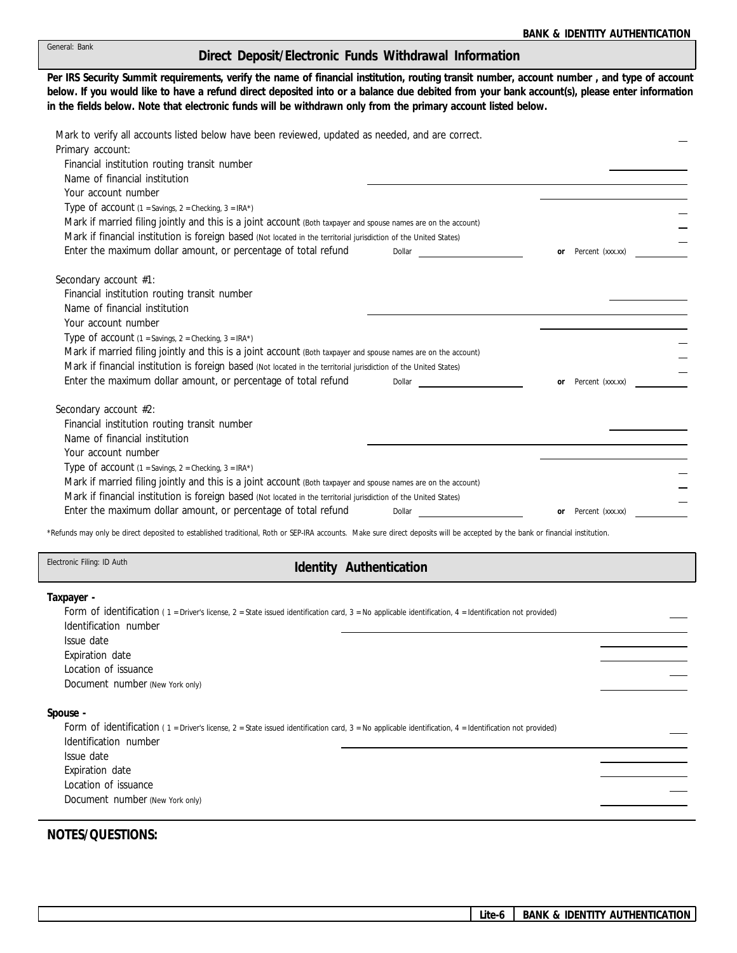| General: Bank |
|---------------|
|               |
|               |

## **Direct Deposit/Electronic Funds Withdrawal Information**

**Per IRS Security Summit requirements, verify the name of financial institution, routing transit number, account number , and type of account in the fields below. Note that electronic funds will be withdrawn only from the primary account listed below. below. If you would like to have a refund direct deposited into or a balance due debited from your bank account(s), please enter information**

| Financial institution routing transit number<br>Name of financial institution<br>Your account number<br>Type of account $(1 =$ Savings, $2 =$ Checking, $3 =$ IRA*)<br>Mark if married filing jointly and this is a joint account (Both taxpayer and spouse names are on the account)<br>Mark if financial institution is foreign based (Not located in the territorial jurisdiction of the United States)<br>Enter the maximum dollar amount, or percentage of total refund<br>Dollar<br>Percent (xxx.xx)<br>or<br>Secondary account #1:<br>Financial institution routing transit number<br>Name of financial institution<br>Your account number<br>Type of account $(1 =$ Savings, $2 =$ Checking, $3 =$ IRA*)<br>Mark if married filing jointly and this is a joint account (Both taxpayer and spouse names are on the account)<br>Mark if financial institution is foreign based (Not located in the territorial jurisdiction of the United States)<br>Enter the maximum dollar amount, or percentage of total refund<br>Percent (xxx.xx)<br>Dollar<br><sub>or</sub><br>Secondary account #2:<br>Financial institution routing transit number<br>Name of financial institution<br>Your account number<br>Type of account $(1 =$ Savings, $2 =$ Checking, $3 =$ IRA*)<br>Mark if married filing jointly and this is a joint account (Both taxpayer and spouse names are on the account)<br>Mark if financial institution is foreign based (Not located in the territorial jurisdiction of the United States)<br>Enter the maximum dollar amount, or percentage of total refund<br>Dollar<br>Percent (xxx.xx)<br>or | Mark to verify all accounts listed below have been reviewed, updated as needed, and are correct.<br>Primary account: |  |
|-----------------------------------------------------------------------------------------------------------------------------------------------------------------------------------------------------------------------------------------------------------------------------------------------------------------------------------------------------------------------------------------------------------------------------------------------------------------------------------------------------------------------------------------------------------------------------------------------------------------------------------------------------------------------------------------------------------------------------------------------------------------------------------------------------------------------------------------------------------------------------------------------------------------------------------------------------------------------------------------------------------------------------------------------------------------------------------------------------------------------------------------------------------------------------------------------------------------------------------------------------------------------------------------------------------------------------------------------------------------------------------------------------------------------------------------------------------------------------------------------------------------------------------------------------------------------------------------------------------------------|----------------------------------------------------------------------------------------------------------------------|--|
|                                                                                                                                                                                                                                                                                                                                                                                                                                                                                                                                                                                                                                                                                                                                                                                                                                                                                                                                                                                                                                                                                                                                                                                                                                                                                                                                                                                                                                                                                                                                                                                                                       |                                                                                                                      |  |
|                                                                                                                                                                                                                                                                                                                                                                                                                                                                                                                                                                                                                                                                                                                                                                                                                                                                                                                                                                                                                                                                                                                                                                                                                                                                                                                                                                                                                                                                                                                                                                                                                       |                                                                                                                      |  |
|                                                                                                                                                                                                                                                                                                                                                                                                                                                                                                                                                                                                                                                                                                                                                                                                                                                                                                                                                                                                                                                                                                                                                                                                                                                                                                                                                                                                                                                                                                                                                                                                                       |                                                                                                                      |  |
|                                                                                                                                                                                                                                                                                                                                                                                                                                                                                                                                                                                                                                                                                                                                                                                                                                                                                                                                                                                                                                                                                                                                                                                                                                                                                                                                                                                                                                                                                                                                                                                                                       |                                                                                                                      |  |
|                                                                                                                                                                                                                                                                                                                                                                                                                                                                                                                                                                                                                                                                                                                                                                                                                                                                                                                                                                                                                                                                                                                                                                                                                                                                                                                                                                                                                                                                                                                                                                                                                       |                                                                                                                      |  |
|                                                                                                                                                                                                                                                                                                                                                                                                                                                                                                                                                                                                                                                                                                                                                                                                                                                                                                                                                                                                                                                                                                                                                                                                                                                                                                                                                                                                                                                                                                                                                                                                                       |                                                                                                                      |  |
|                                                                                                                                                                                                                                                                                                                                                                                                                                                                                                                                                                                                                                                                                                                                                                                                                                                                                                                                                                                                                                                                                                                                                                                                                                                                                                                                                                                                                                                                                                                                                                                                                       |                                                                                                                      |  |
|                                                                                                                                                                                                                                                                                                                                                                                                                                                                                                                                                                                                                                                                                                                                                                                                                                                                                                                                                                                                                                                                                                                                                                                                                                                                                                                                                                                                                                                                                                                                                                                                                       |                                                                                                                      |  |
|                                                                                                                                                                                                                                                                                                                                                                                                                                                                                                                                                                                                                                                                                                                                                                                                                                                                                                                                                                                                                                                                                                                                                                                                                                                                                                                                                                                                                                                                                                                                                                                                                       |                                                                                                                      |  |
|                                                                                                                                                                                                                                                                                                                                                                                                                                                                                                                                                                                                                                                                                                                                                                                                                                                                                                                                                                                                                                                                                                                                                                                                                                                                                                                                                                                                                                                                                                                                                                                                                       |                                                                                                                      |  |
|                                                                                                                                                                                                                                                                                                                                                                                                                                                                                                                                                                                                                                                                                                                                                                                                                                                                                                                                                                                                                                                                                                                                                                                                                                                                                                                                                                                                                                                                                                                                                                                                                       |                                                                                                                      |  |
|                                                                                                                                                                                                                                                                                                                                                                                                                                                                                                                                                                                                                                                                                                                                                                                                                                                                                                                                                                                                                                                                                                                                                                                                                                                                                                                                                                                                                                                                                                                                                                                                                       |                                                                                                                      |  |
|                                                                                                                                                                                                                                                                                                                                                                                                                                                                                                                                                                                                                                                                                                                                                                                                                                                                                                                                                                                                                                                                                                                                                                                                                                                                                                                                                                                                                                                                                                                                                                                                                       |                                                                                                                      |  |
|                                                                                                                                                                                                                                                                                                                                                                                                                                                                                                                                                                                                                                                                                                                                                                                                                                                                                                                                                                                                                                                                                                                                                                                                                                                                                                                                                                                                                                                                                                                                                                                                                       |                                                                                                                      |  |
|                                                                                                                                                                                                                                                                                                                                                                                                                                                                                                                                                                                                                                                                                                                                                                                                                                                                                                                                                                                                                                                                                                                                                                                                                                                                                                                                                                                                                                                                                                                                                                                                                       |                                                                                                                      |  |
|                                                                                                                                                                                                                                                                                                                                                                                                                                                                                                                                                                                                                                                                                                                                                                                                                                                                                                                                                                                                                                                                                                                                                                                                                                                                                                                                                                                                                                                                                                                                                                                                                       |                                                                                                                      |  |
|                                                                                                                                                                                                                                                                                                                                                                                                                                                                                                                                                                                                                                                                                                                                                                                                                                                                                                                                                                                                                                                                                                                                                                                                                                                                                                                                                                                                                                                                                                                                                                                                                       |                                                                                                                      |  |
|                                                                                                                                                                                                                                                                                                                                                                                                                                                                                                                                                                                                                                                                                                                                                                                                                                                                                                                                                                                                                                                                                                                                                                                                                                                                                                                                                                                                                                                                                                                                                                                                                       |                                                                                                                      |  |
|                                                                                                                                                                                                                                                                                                                                                                                                                                                                                                                                                                                                                                                                                                                                                                                                                                                                                                                                                                                                                                                                                                                                                                                                                                                                                                                                                                                                                                                                                                                                                                                                                       |                                                                                                                      |  |
|                                                                                                                                                                                                                                                                                                                                                                                                                                                                                                                                                                                                                                                                                                                                                                                                                                                                                                                                                                                                                                                                                                                                                                                                                                                                                                                                                                                                                                                                                                                                                                                                                       |                                                                                                                      |  |
|                                                                                                                                                                                                                                                                                                                                                                                                                                                                                                                                                                                                                                                                                                                                                                                                                                                                                                                                                                                                                                                                                                                                                                                                                                                                                                                                                                                                                                                                                                                                                                                                                       |                                                                                                                      |  |
|                                                                                                                                                                                                                                                                                                                                                                                                                                                                                                                                                                                                                                                                                                                                                                                                                                                                                                                                                                                                                                                                                                                                                                                                                                                                                                                                                                                                                                                                                                                                                                                                                       |                                                                                                                      |  |
|                                                                                                                                                                                                                                                                                                                                                                                                                                                                                                                                                                                                                                                                                                                                                                                                                                                                                                                                                                                                                                                                                                                                                                                                                                                                                                                                                                                                                                                                                                                                                                                                                       |                                                                                                                      |  |
|                                                                                                                                                                                                                                                                                                                                                                                                                                                                                                                                                                                                                                                                                                                                                                                                                                                                                                                                                                                                                                                                                                                                                                                                                                                                                                                                                                                                                                                                                                                                                                                                                       |                                                                                                                      |  |

\*Refunds may only be direct deposited to established traditional, Roth or SEP-IRA accounts. Make sure direct deposits will be accepted by the bank or financial institution.

Electronic Filing: ID Auth

## **Identity Authentication**

**Taxpayer -**

| Form of identification (1 = Driver's license, 2 = State issued identification card, 3 = No applicable identification, 4 = Identification not provided) |  |
|--------------------------------------------------------------------------------------------------------------------------------------------------------|--|
| Identification number                                                                                                                                  |  |
| Issue date                                                                                                                                             |  |
| Expiration date                                                                                                                                        |  |
| Location of issuance                                                                                                                                   |  |
| Document number (New York only)                                                                                                                        |  |
| Spouse -                                                                                                                                               |  |
| Form of identification (1 = Driver's license, 2 = State issued identification card, 3 = No applicable identification, 4 = Identification not provided) |  |
| Identification number                                                                                                                                  |  |
| Issue date                                                                                                                                             |  |
| Expiration date                                                                                                                                        |  |
| Location of issuance                                                                                                                                   |  |
| Document number (New York only)                                                                                                                        |  |
|                                                                                                                                                        |  |

**NOTES/QUESTIONS:**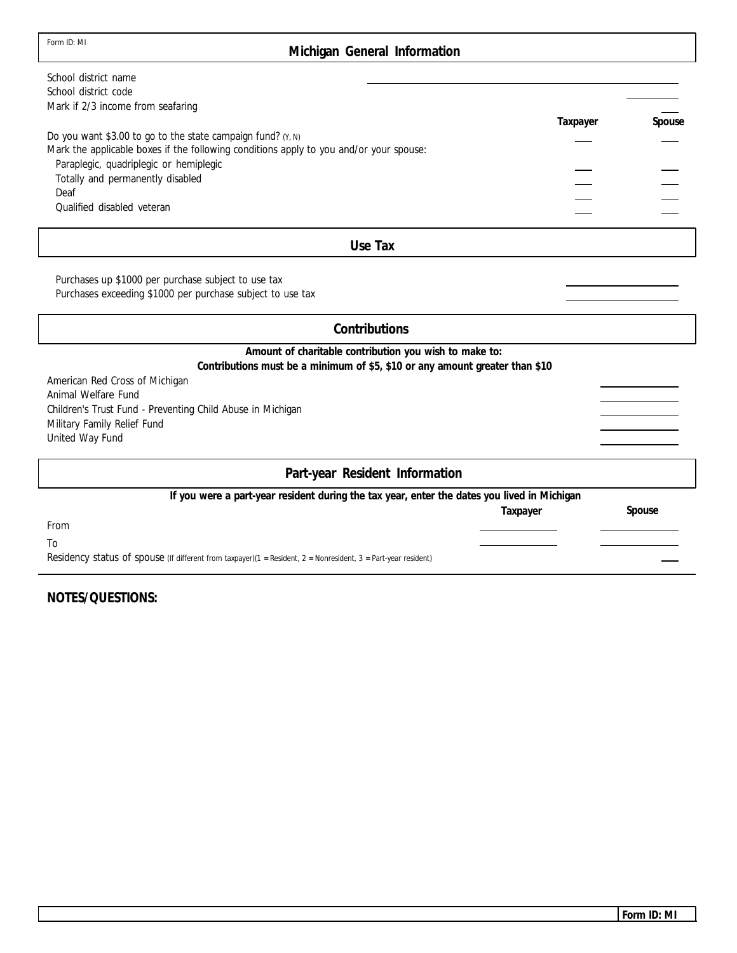## **Michigan General Information**

| School district name                                                                                           |          |        |
|----------------------------------------------------------------------------------------------------------------|----------|--------|
| School district code                                                                                           |          |        |
| Mark if 2/3 income from seafaring                                                                              |          |        |
|                                                                                                                | Taxpayer | Spouse |
| Do you want \$3.00 to go to the state campaign fund? $(Y, N)$                                                  |          |        |
| Mark the applicable boxes if the following conditions apply to you and/or your spouse:                         |          |        |
| Paraplegic, quadriplegic or hemiplegic<br>Totally and permanently disabled                                     |          |        |
| Deaf                                                                                                           |          |        |
| Qualified disabled veteran                                                                                     |          |        |
|                                                                                                                |          |        |
| Use Tax                                                                                                        |          |        |
|                                                                                                                |          |        |
| Purchases up \$1000 per purchase subject to use tax                                                            |          |        |
| Purchases exceeding \$1000 per purchase subject to use tax                                                     |          |        |
| Contributions                                                                                                  |          |        |
| Amount of charitable contribution you wish to make to:                                                         |          |        |
| Contributions must be a minimum of \$5, \$10 or any amount greater than \$10                                   |          |        |
| American Red Cross of Michigan                                                                                 |          |        |
| Animal Welfare Fund                                                                                            |          |        |
| Children's Trust Fund - Preventing Child Abuse in Michigan                                                     |          |        |
| Military Family Relief Fund                                                                                    |          |        |
| United Way Fund                                                                                                |          |        |
| Part-year Resident Information                                                                                 |          |        |
| If you were a part-year resident during the tax year, enter the dates you lived in Michigan                    |          |        |
|                                                                                                                | Taxpayer | Spouse |
| From                                                                                                           |          |        |
| To                                                                                                             |          |        |
| Residency status of spouse (If different from taxpayer)(1 = Resident, 2 = Nonresident, 3 = Part-year resident) |          |        |
|                                                                                                                |          |        |

**NOTES/QUESTIONS:**